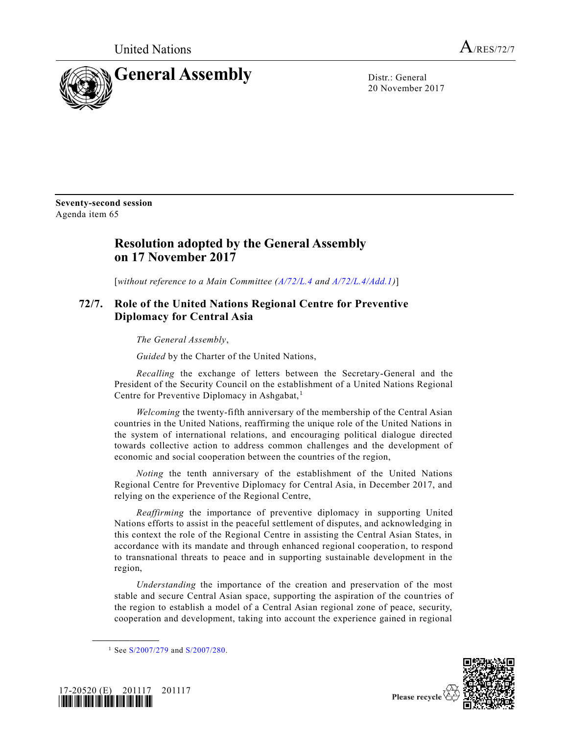

20 November 2017

**Seventy-second session** Agenda item 65

## **Resolution adopted by the General Assembly on 17 November 2017**

[*without reference to a Main Committee [\(A/72/L.4](https://undocs.org/A/72/L.4) and [A/72/L.4/Add.1\)](https://undocs.org/A/72/L.4/Add.1)*]

## **72/7. Role of the United Nations Regional Centre for Preventive Diplomacy for Central Asia**

*The General Assembly*,

*Guided* by the Charter of the United Nations,

*Recalling* the exchange of letters between the Secretary-General and the President of the Security Council on the establishment of a United Nations Regional Centre for Preventive Diplomacy in Ashgabat,<sup>1</sup>

*Welcoming* the twenty-fifth anniversary of the membership of the Central Asian countries in the United Nations, reaffirming the unique role of the United Nations in the system of international relations, and encouraging political dialogue directed towards collective action to address common challenges and the development of economic and social cooperation between the countries of the region,

*Noting* the tenth anniversary of the establishment of the United Nations Regional Centre for Preventive Diplomacy for Central Asia, in December 2017, and relying on the experience of the Regional Centre,

*Reaffirming* the importance of preventive diplomacy in supporting United Nations efforts to assist in the peaceful settlement of disputes, and acknowledging in this context the role of the Regional Centre in assisting the Central Asian States, in accordance with its mandate and through enhanced regional cooperation, to respond to transnational threats to peace and in supporting sustainable development in the region,

*Understanding* the importance of the creation and preservation of the most stable and secure Central Asian space, supporting the aspiration of the countries of the region to establish a model of a Central Asian regional zone of peace, security, cooperation and development, taking into account the experience gained in regional

<sup>&</sup>lt;sup>1</sup> See [S/2007/279](https://undocs.org/S/2007/279) and [S/2007/280.](https://undocs.org/S/2007/280)



**\_\_\_\_\_\_\_\_\_\_\_\_\_\_\_\_\_\_**